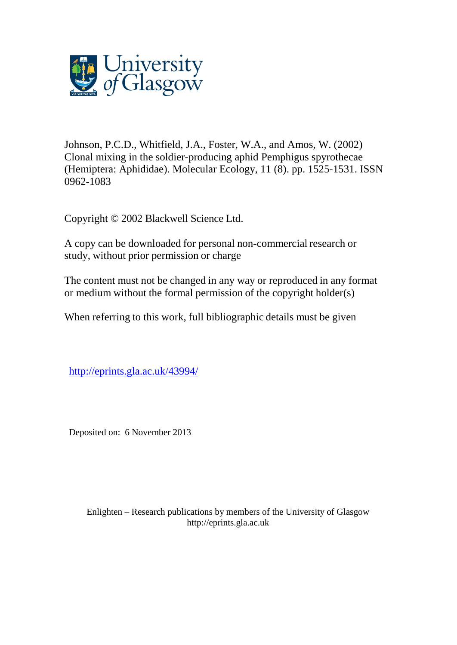

Johnson, P.C.D., Whitfield, J.A., Foster, W.A., and Amos, W. (2002) Clonal mixing in the soldier-producing aphid Pemphigus spyrothecae (Hemiptera: Aphididae). Molecular Ecology, 11 (8). pp. 1525-1531. ISSN 0962-1083

Copyright © 2002 Blackwell Science Ltd.

A copy can be downloaded for personal non-commercial research or study, without prior permission or charge

The content must not be changed in any way or reproduced in any format or medium without the formal permission of the copyright holder(s)

When referring to this work, full bibliographic details must be given

<http://eprints.gla.ac.uk/43994/>

Deposited on: 6 November 2013

Enlighten – Research publications by members of the University of Glasgo[w](http://eprints.gla.ac.uk/) [http://eprints.gla.ac.uk](http://eprints.gla.ac.uk/)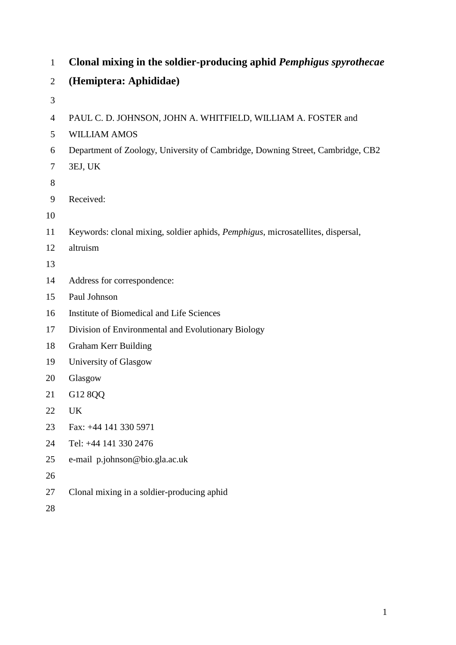| $\mathbf{1}$   | Clonal mixing in the soldier-producing aphid Pemphigus spyrothecae              |  |  |  |  |  |
|----------------|---------------------------------------------------------------------------------|--|--|--|--|--|
| $\overline{2}$ | (Hemiptera: Aphididae)                                                          |  |  |  |  |  |
| $\mathfrak{Z}$ |                                                                                 |  |  |  |  |  |
| $\overline{4}$ | PAUL C. D. JOHNSON, JOHN A. WHITFIELD, WILLIAM A. FOSTER and                    |  |  |  |  |  |
| 5              | <b>WILLIAM AMOS</b>                                                             |  |  |  |  |  |
| 6              | Department of Zoology, University of Cambridge, Downing Street, Cambridge, CB2  |  |  |  |  |  |
| 7              | 3EJ, UK                                                                         |  |  |  |  |  |
| 8              |                                                                                 |  |  |  |  |  |
| 9              | Received:                                                                       |  |  |  |  |  |
| 10             |                                                                                 |  |  |  |  |  |
| 11             | Keywords: clonal mixing, soldier aphids, Pemphigus, microsatellites, dispersal, |  |  |  |  |  |
| 12             | altruism                                                                        |  |  |  |  |  |
| 13             |                                                                                 |  |  |  |  |  |
| 14             | Address for correspondence:                                                     |  |  |  |  |  |
| 15             | Paul Johnson                                                                    |  |  |  |  |  |
| 16             | Institute of Biomedical and Life Sciences                                       |  |  |  |  |  |
| 17             | Division of Environmental and Evolutionary Biology                              |  |  |  |  |  |
| 18             | Graham Kerr Building                                                            |  |  |  |  |  |
| 19             | University of Glasgow                                                           |  |  |  |  |  |
| 20             | Glasgow                                                                         |  |  |  |  |  |
| 21             | G12 8QQ                                                                         |  |  |  |  |  |
| 22             | <b>UK</b>                                                                       |  |  |  |  |  |
| 23             | Fax: +44 141 330 5971                                                           |  |  |  |  |  |
| 24             | Tel: +44 141 330 2476                                                           |  |  |  |  |  |
| 25             | e-mail p.johnson@bio.gla.ac.uk                                                  |  |  |  |  |  |
| 26             |                                                                                 |  |  |  |  |  |
| 27             | Clonal mixing in a soldier-producing aphid                                      |  |  |  |  |  |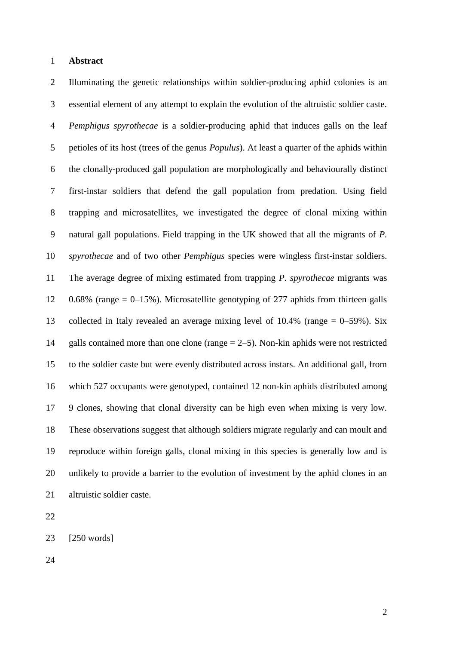## **Abstract**

 Illuminating the genetic relationships within soldier-producing aphid colonies is an essential element of any attempt to explain the evolution of the altruistic soldier caste. *Pemphigus spyrothecae* is a soldier-producing aphid that induces galls on the leaf petioles of its host (trees of the genus *Populus*). At least a quarter of the aphids within the clonally-produced gall population are morphologically and behaviourally distinct first-instar soldiers that defend the gall population from predation. Using field trapping and microsatellites, we investigated the degree of clonal mixing within natural gall populations. Field trapping in the UK showed that all the migrants of *P. spyrothecae* and of two other *Pemphigus* species were wingless first-instar soldiers. The average degree of mixing estimated from trapping *P. spyrothecae* migrants was 0.68% (range = 0–15%). Microsatellite genotyping of 277 aphids from thirteen galls collected in Italy revealed an average mixing level of 10.4% (range = 0–59%). Six galls contained more than one clone (range = 2–5). Non-kin aphids were not restricted to the soldier caste but were evenly distributed across instars. An additional gall, from which 527 occupants were genotyped, contained 12 non-kin aphids distributed among 9 clones, showing that clonal diversity can be high even when mixing is very low. These observations suggest that although soldiers migrate regularly and can moult and reproduce within foreign galls, clonal mixing in this species is generally low and is unlikely to provide a barrier to the evolution of investment by the aphid clones in an altruistic soldier caste.

[250 words]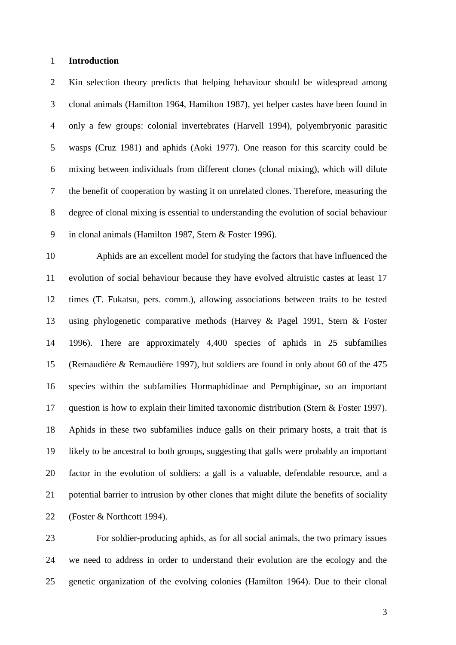### **Introduction**

 Kin selection theory predicts that helping behaviour should be widespread among clonal animals (Hamilton 1964, Hamilton 1987), yet helper castes have been found in only a few groups: colonial invertebrates (Harvell 1994), polyembryonic parasitic wasps (Cruz 1981) and aphids (Aoki 1977). One reason for this scarcity could be mixing between individuals from different clones (clonal mixing), which will dilute the benefit of cooperation by wasting it on unrelated clones. Therefore, measuring the degree of clonal mixing is essential to understanding the evolution of social behaviour in clonal animals (Hamilton 1987, Stern & Foster 1996).

 Aphids are an excellent model for studying the factors that have influenced the evolution of social behaviour because they have evolved altruistic castes at least 17 times (T. Fukatsu, pers. comm.), allowing associations between traits to be tested using phylogenetic comparative methods (Harvey & Pagel 1991, Stern & Foster 1996). There are approximately 4,400 species of aphids in 25 subfamilies (Remaudière & Remaudière 1997), but soldiers are found in only about 60 of the 475 species within the subfamilies Hormaphidinae and Pemphiginae, so an important question is how to explain their limited taxonomic distribution (Stern & Foster 1997). Aphids in these two subfamilies induce galls on their primary hosts, a trait that is likely to be ancestral to both groups, suggesting that galls were probably an important factor in the evolution of soldiers: a gall is a valuable, defendable resource, and a potential barrier to intrusion by other clones that might dilute the benefits of sociality (Foster & Northcott 1994).

 For soldier-producing aphids, as for all social animals, the two primary issues we need to address in order to understand their evolution are the ecology and the genetic organization of the evolving colonies (Hamilton 1964). Due to their clonal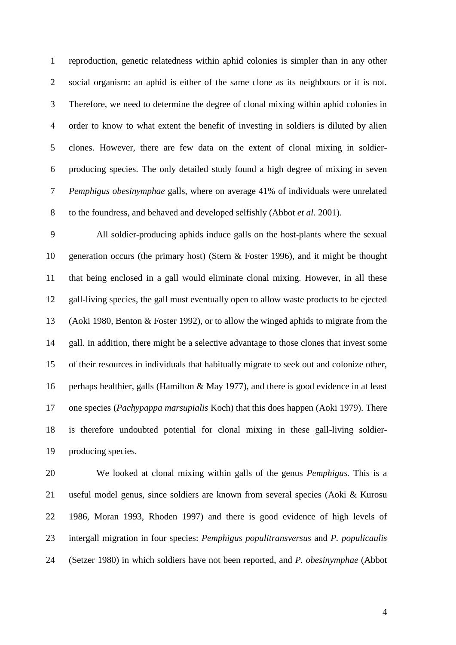reproduction, genetic relatedness within aphid colonies is simpler than in any other social organism: an aphid is either of the same clone as its neighbours or it is not. Therefore, we need to determine the degree of clonal mixing within aphid colonies in order to know to what extent the benefit of investing in soldiers is diluted by alien clones. However, there are few data on the extent of clonal mixing in soldier- producing species. The only detailed study found a high degree of mixing in seven *Pemphigus obesinymphae* galls, where on average 41% of individuals were unrelated to the foundress, and behaved and developed selfishly (Abbot *et al.* 2001).

 All soldier-producing aphids induce galls on the host-plants where the sexual generation occurs (the primary host) (Stern & Foster 1996), and it might be thought that being enclosed in a gall would eliminate clonal mixing. However, in all these gall-living species, the gall must eventually open to allow waste products to be ejected (Aoki 1980, Benton & Foster 1992), or to allow the winged aphids to migrate from the gall. In addition, there might be a selective advantage to those clones that invest some of their resources in individuals that habitually migrate to seek out and colonize other, perhaps healthier, galls (Hamilton & May 1977), and there is good evidence in at least one species (*Pachypappa marsupialis* Koch) that this does happen (Aoki 1979). There is therefore undoubted potential for clonal mixing in these gall-living soldier-producing species.

 We looked at clonal mixing within galls of the genus *Pemphigus.* This is a useful model genus, since soldiers are known from several species (Aoki & Kurosu 1986, Moran 1993, Rhoden 1997) and there is good evidence of high levels of intergall migration in four species: *Pemphigus populitransversus* and *P. populicaulis* (Setzer 1980) in which soldiers have not been reported, and *P. obesinymphae* (Abbot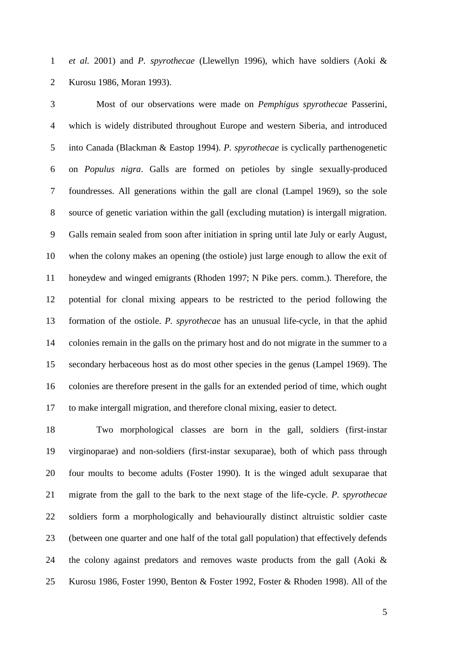*et al.* 2001) and *P. spyrothecae* (Llewellyn 1996), which have soldiers (Aoki & Kurosu 1986, Moran 1993).

 Most of our observations were made on *Pemphigus spyrothecae* Passerini, which is widely distributed throughout Europe and western Siberia, and introduced into Canada (Blackman & Eastop 1994). *P. spyrothecae* is cyclically parthenogenetic on *Populus nigra*. Galls are formed on petioles by single sexually-produced foundresses. All generations within the gall are clonal (Lampel 1969), so the sole source of genetic variation within the gall (excluding mutation) is intergall migration. Galls remain sealed from soon after initiation in spring until late July or early August, when the colony makes an opening (the ostiole) just large enough to allow the exit of honeydew and winged emigrants (Rhoden 1997; N Pike pers. comm.). Therefore, the potential for clonal mixing appears to be restricted to the period following the formation of the ostiole. *P. spyrothecae* has an unusual life-cycle, in that the aphid colonies remain in the galls on the primary host and do not migrate in the summer to a secondary herbaceous host as do most other species in the genus (Lampel 1969). The colonies are therefore present in the galls for an extended period of time, which ought to make intergall migration, and therefore clonal mixing, easier to detect.

 Two morphological classes are born in the gall, soldiers (first-instar virginoparae) and non-soldiers (first-instar sexuparae), both of which pass through four moults to become adults (Foster 1990). It is the winged adult sexuparae that migrate from the gall to the bark to the next stage of the life-cycle. *P. spyrothecae* soldiers form a morphologically and behaviourally distinct altruistic soldier caste (between one quarter and one half of the total gall population) that effectively defends the colony against predators and removes waste products from the gall (Aoki & Kurosu 1986, Foster 1990, Benton & Foster 1992, Foster & Rhoden 1998). All of the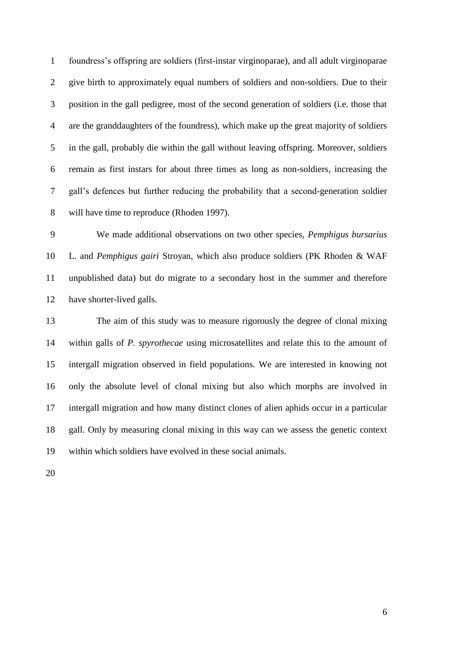foundress's offspring are soldiers (first-instar virginoparae), and all adult virginoparae give birth to approximately equal numbers of soldiers and non-soldiers. Due to their position in the gall pedigree, most of the second generation of soldiers (i.e. those that are the granddaughters of the foundress), which make up the great majority of soldiers in the gall, probably die within the gall without leaving offspring. Moreover, soldiers remain as first instars for about three times as long as non-soldiers, increasing the gall's defences but further reducing the probability that a second-generation soldier will have time to reproduce (Rhoden 1997).

 We made additional observations on two other species, *Pemphigus bursarius*  L. and *Pemphigus gairi* Stroyan, which also produce soldiers (PK Rhoden & WAF unpublished data) but do migrate to a secondary host in the summer and therefore have shorter-lived galls.

 The aim of this study was to measure rigorously the degree of clonal mixing within galls of *P. spyrothecae* using microsatellites and relate this to the amount of intergall migration observed in field populations. We are interested in knowing not only the absolute level of clonal mixing but also which morphs are involved in intergall migration and how many distinct clones of alien aphids occur in a particular gall. Only by measuring clonal mixing in this way can we assess the genetic context within which soldiers have evolved in these social animals.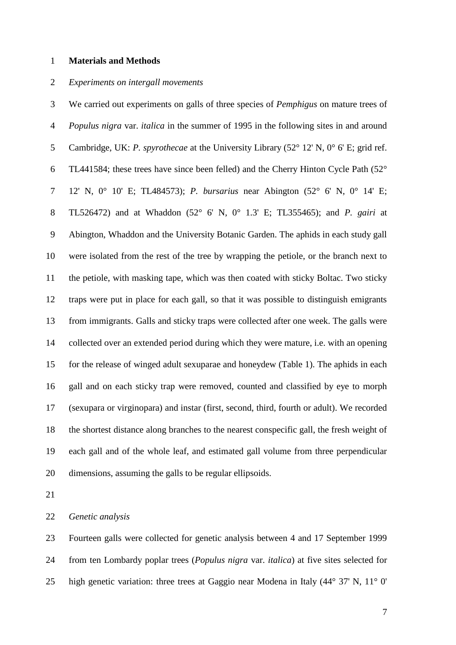#### **Materials and Methods**

### *Experiments on intergall movements*

 We carried out experiments on galls of three species of *Pemphigus* on mature trees of *Populus nigra* var. *italica* in the summer of 1995 in the following sites in and around Cambridge, UK: *P. spyrothecae* at the University Library (52° 12' N, 0° 6' E; grid ref. TL441584; these trees have since been felled) and the Cherry Hinton Cycle Path (52° 12' N, 0° 10' E; TL484573); *P. bursarius* near Abington (52° 6' N, 0° 14' E; TL526472) and at Whaddon (52° 6' N, 0° 1.3' E; TL355465); and *P. gairi* at Abington, Whaddon and the University Botanic Garden. The aphids in each study gall were isolated from the rest of the tree by wrapping the petiole, or the branch next to the petiole, with masking tape, which was then coated with sticky Boltac. Two sticky traps were put in place for each gall, so that it was possible to distinguish emigrants from immigrants. Galls and sticky traps were collected after one week. The galls were collected over an extended period during which they were mature, i.e. with an opening for the release of winged adult sexuparae and honeydew (Table 1). The aphids in each gall and on each sticky trap were removed, counted and classified by eye to morph (sexupara or virginopara) and instar (first, second, third, fourth or adult). We recorded the shortest distance along branches to the nearest conspecific gall, the fresh weight of each gall and of the whole leaf, and estimated gall volume from three perpendicular dimensions, assuming the galls to be regular ellipsoids.

*Genetic analysis*

 Fourteen galls were collected for genetic analysis between 4 and 17 September 1999 from ten Lombardy poplar trees (*Populus nigra* var. *italica*) at five sites selected for high genetic variation: three trees at Gaggio near Modena in Italy (44° 37' N, 11° 0'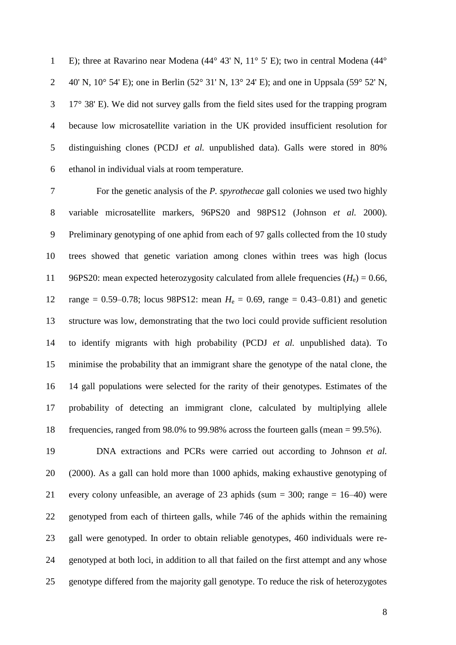E); three at Ravarino near Modena (44° 43' N, 11° 5' E); two in central Modena (44° 2 40' N,  $10^{\circ}$  54' E); one in Berlin (52° 31' N,  $13^{\circ}$  24' E); and one in Uppsala (59° 52' N, 17° 38' E). We did not survey galls from the field sites used for the trapping program because low microsatellite variation in the UK provided insufficient resolution for distinguishing clones (PCDJ *et al.* unpublished data). Galls were stored in 80% ethanol in individual vials at room temperature.

 For the genetic analysis of the *P. spyrothecae* gall colonies we used two highly variable microsatellite markers, 96PS20 and 98PS12 (Johnson *et al.* 2000). Preliminary genotyping of one aphid from each of 97 galls collected from the 10 study trees showed that genetic variation among clones within trees was high (locus 11 96PS20: mean expected heterozygosity calculated from allele frequencies  $(H_e) = 0.66$ , 12 range =  $0.59-0.78$ ; locus 98PS12: mean  $H_e = 0.69$ , range =  $0.43-0.81$ ) and genetic structure was low, demonstrating that the two loci could provide sufficient resolution to identify migrants with high probability (PCDJ *et al.* unpublished data). To minimise the probability that an immigrant share the genotype of the natal clone, the 14 gall populations were selected for the rarity of their genotypes. Estimates of the probability of detecting an immigrant clone, calculated by multiplying allele frequencies, ranged from 98.0% to 99.98% across the fourteen galls (mean = 99.5%).

 DNA extractions and PCRs were carried out according to Johnson *et al.* (2000). As a gall can hold more than 1000 aphids, making exhaustive genotyping of every colony unfeasible, an average of 23 aphids (sum = 300; range = 16–40) were genotyped from each of thirteen galls, while 746 of the aphids within the remaining gall were genotyped. In order to obtain reliable genotypes, 460 individuals were re- genotyped at both loci, in addition to all that failed on the first attempt and any whose genotype differed from the majority gall genotype. To reduce the risk of heterozygotes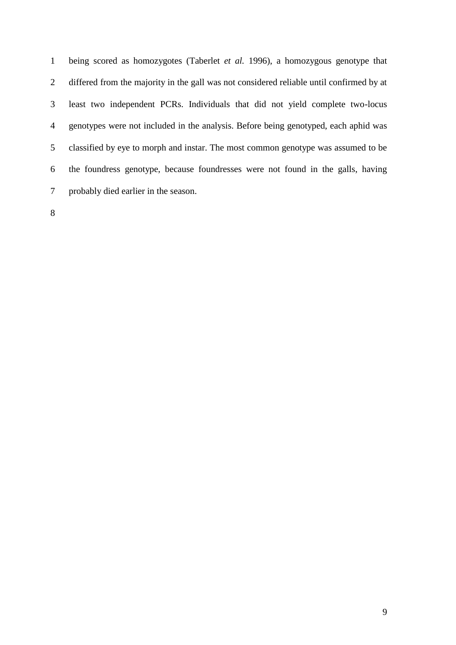being scored as homozygotes (Taberlet *et al.* 1996), a homozygous genotype that differed from the majority in the gall was not considered reliable until confirmed by at least two independent PCRs. Individuals that did not yield complete two-locus genotypes were not included in the analysis. Before being genotyped, each aphid was classified by eye to morph and instar. The most common genotype was assumed to be the foundress genotype, because foundresses were not found in the galls, having probably died earlier in the season.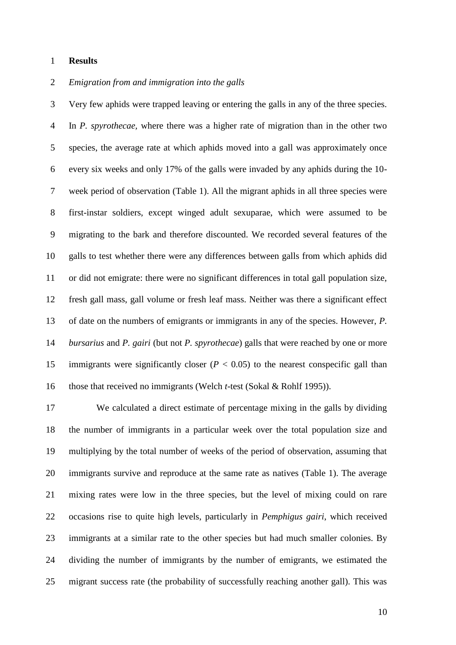### **Results**

### *Emigration from and immigration into the galls*

 Very few aphids were trapped leaving or entering the galls in any of the three species. In *P. spyrothecae,* where there was a higher rate of migration than in the other two species, the average rate at which aphids moved into a gall was approximately once every six weeks and only 17% of the galls were invaded by any aphids during the 10- week period of observation (Table 1). All the migrant aphids in all three species were first-instar soldiers, except winged adult sexuparae, which were assumed to be migrating to the bark and therefore discounted. We recorded several features of the galls to test whether there were any differences between galls from which aphids did or did not emigrate: there were no significant differences in total gall population size, fresh gall mass, gall volume or fresh leaf mass. Neither was there a significant effect of date on the numbers of emigrants or immigrants in any of the species. However, *P. bursarius* and *P. gairi* (but not *P. spyrothecae*) galls that were reached by one or more 15 immigrants were significantly closer  $(P < 0.05)$  to the nearest conspecific gall than those that received no immigrants (Welch *t*-test (Sokal & Rohlf 1995)).

 We calculated a direct estimate of percentage mixing in the galls by dividing the number of immigrants in a particular week over the total population size and multiplying by the total number of weeks of the period of observation, assuming that immigrants survive and reproduce at the same rate as natives (Table 1). The average mixing rates were low in the three species, but the level of mixing could on rare occasions rise to quite high levels, particularly in *Pemphigus gairi*, which received immigrants at a similar rate to the other species but had much smaller colonies. By dividing the number of immigrants by the number of emigrants, we estimated the migrant success rate (the probability of successfully reaching another gall). This was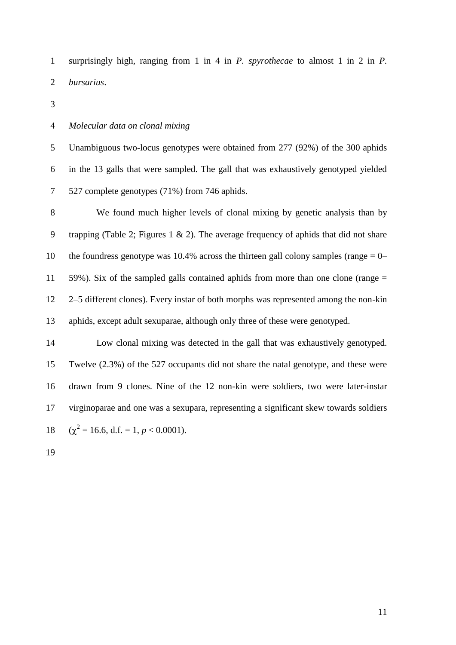surprisingly high, ranging from 1 in 4 in *P. spyrothecae* to almost 1 in 2 in *P. bursarius*.

### *Molecular data on clonal mixing*

 Unambiguous two-locus genotypes were obtained from 277 (92%) of the 300 aphids in the 13 galls that were sampled. The gall that was exhaustively genotyped yielded 527 complete genotypes (71%) from 746 aphids.

 We found much higher levels of clonal mixing by genetic analysis than by 9 trapping (Table 2; Figures 1 & 2). The average frequency of aphids that did not share 10 the foundress genotype was 10.4% across the thirteen gall colony samples (range  $= 0-$  59%). Six of the sampled galls contained aphids from more than one clone (range = 2–5 different clones). Every instar of both morphs was represented among the non-kin aphids, except adult sexuparae, although only three of these were genotyped.

 Low clonal mixing was detected in the gall that was exhaustively genotyped. Twelve (2.3%) of the 527 occupants did not share the natal genotype, and these were drawn from 9 clones. Nine of the 12 non-kin were soldiers, two were later-instar virginoparae and one was a sexupara, representing a significant skew towards soldiers  $(\chi^2 = 16.6, d.f. = 1, p < 0.0001).$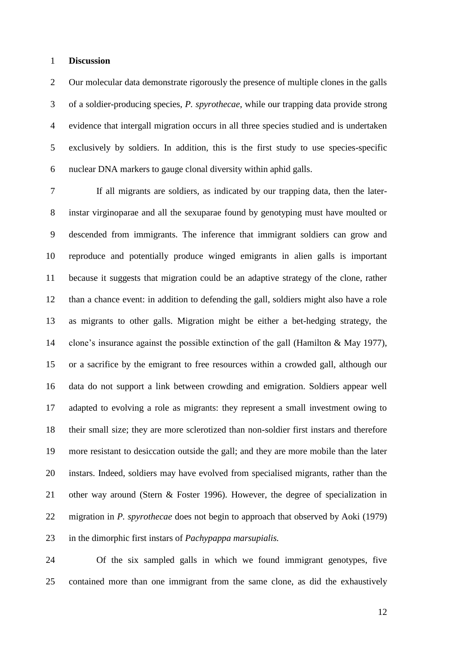### **Discussion**

 Our molecular data demonstrate rigorously the presence of multiple clones in the galls of a soldier-producing species, *P. spyrothecae*, while our trapping data provide strong evidence that intergall migration occurs in all three species studied and is undertaken exclusively by soldiers. In addition, this is the first study to use species-specific nuclear DNA markers to gauge clonal diversity within aphid galls.

 If all migrants are soldiers, as indicated by our trapping data, then the later- instar virginoparae and all the sexuparae found by genotyping must have moulted or descended from immigrants. The inference that immigrant soldiers can grow and reproduce and potentially produce winged emigrants in alien galls is important because it suggests that migration could be an adaptive strategy of the clone, rather than a chance event: in addition to defending the gall, soldiers might also have a role as migrants to other galls. Migration might be either a bet-hedging strategy, the clone's insurance against the possible extinction of the gall (Hamilton & May 1977), or a sacrifice by the emigrant to free resources within a crowded gall, although our data do not support a link between crowding and emigration. Soldiers appear well adapted to evolving a role as migrants: they represent a small investment owing to their small size; they are more sclerotized than non-soldier first instars and therefore more resistant to desiccation outside the gall; and they are more mobile than the later instars. Indeed, soldiers may have evolved from specialised migrants, rather than the other way around (Stern & Foster 1996). However, the degree of specialization in migration in *P. spyrothecae* does not begin to approach that observed by Aoki (1979) in the dimorphic first instars of *Pachypappa marsupialis.*

 Of the six sampled galls in which we found immigrant genotypes, five contained more than one immigrant from the same clone, as did the exhaustively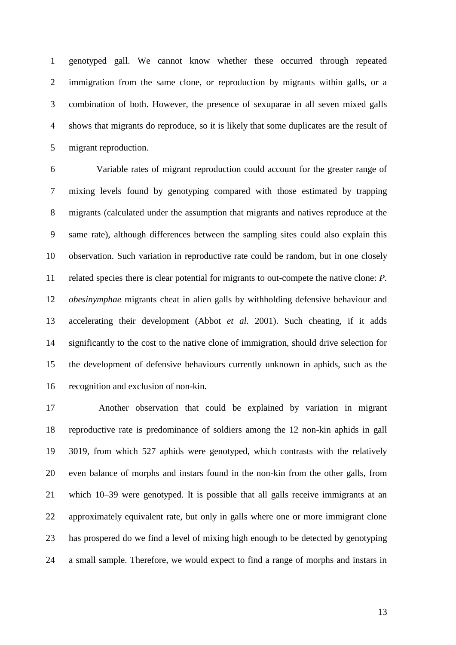genotyped gall. We cannot know whether these occurred through repeated immigration from the same clone, or reproduction by migrants within galls, or a combination of both. However, the presence of sexuparae in all seven mixed galls shows that migrants do reproduce, so it is likely that some duplicates are the result of migrant reproduction.

 Variable rates of migrant reproduction could account for the greater range of mixing levels found by genotyping compared with those estimated by trapping migrants (calculated under the assumption that migrants and natives reproduce at the same rate), although differences between the sampling sites could also explain this observation. Such variation in reproductive rate could be random, but in one closely related species there is clear potential for migrants to out-compete the native clone: *P. obesinymphae* migrants cheat in alien galls by withholding defensive behaviour and accelerating their development (Abbot *et al.* 2001). Such cheating, if it adds significantly to the cost to the native clone of immigration, should drive selection for the development of defensive behaviours currently unknown in aphids, such as the recognition and exclusion of non-kin.

 Another observation that could be explained by variation in migrant reproductive rate is predominance of soldiers among the 12 non-kin aphids in gall 3019, from which 527 aphids were genotyped, which contrasts with the relatively even balance of morphs and instars found in the non-kin from the other galls, from which 10–39 were genotyped. It is possible that all galls receive immigrants at an approximately equivalent rate, but only in galls where one or more immigrant clone has prospered do we find a level of mixing high enough to be detected by genotyping a small sample. Therefore, we would expect to find a range of morphs and instars in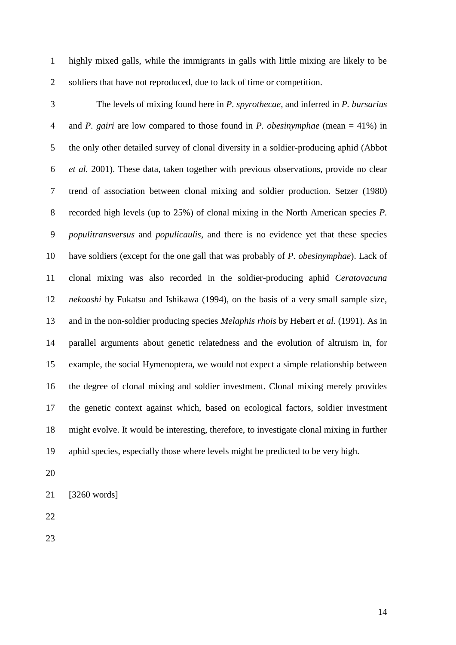highly mixed galls, while the immigrants in galls with little mixing are likely to be soldiers that have not reproduced, due to lack of time or competition.

- The levels of mixing found here in *P. spyrothecae*, and inferred in *P. bursarius* and *P. gairi* are low compared to those found in *P. obesinymphae* (mean = 41%) in the only other detailed survey of clonal diversity in a soldier-producing aphid (Abbot *et al.* 2001). These data, taken together with previous observations, provide no clear trend of association between clonal mixing and soldier production. Setzer (1980) recorded high levels (up to 25%) of clonal mixing in the North American species *P. populitransversus* and *populicaulis*, and there is no evidence yet that these species have soldiers (except for the one gall that was probably of *P. obesinymphae*). Lack of clonal mixing was also recorded in the soldier-producing aphid *Ceratovacuna nekoashi* by Fukatsu and Ishikawa (1994), on the basis of a very small sample size, and in the non-soldier producing species *Melaphis rhois* by Hebert *et al.* (1991). As in parallel arguments about genetic relatedness and the evolution of altruism in, for example, the social Hymenoptera, we would not expect a simple relationship between the degree of clonal mixing and soldier investment. Clonal mixing merely provides the genetic context against which, based on ecological factors, soldier investment might evolve. It would be interesting, therefore, to investigate clonal mixing in further aphid species, especially those where levels might be predicted to be very high.
- 

[3260 words]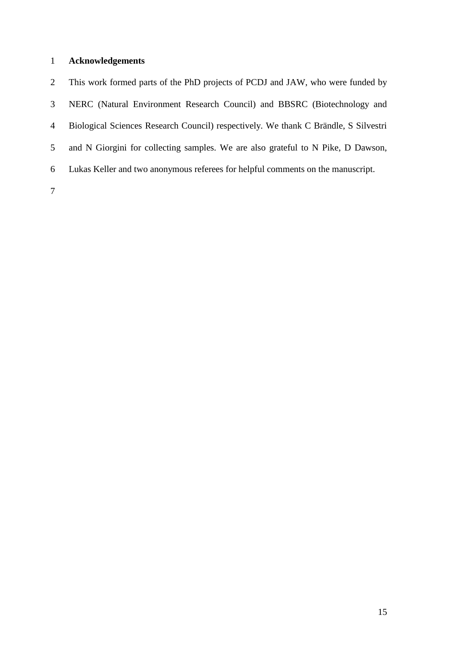# **Acknowledgements**

 This work formed parts of the PhD projects of PCDJ and JAW, who were funded by NERC (Natural Environment Research Council) and BBSRC (Biotechnology and Biological Sciences Research Council) respectively. We thank C Brändle, S Silvestri and N Giorgini for collecting samples. We are also grateful to N Pike, D Dawson, Lukas Keller and two anonymous referees for helpful comments on the manuscript.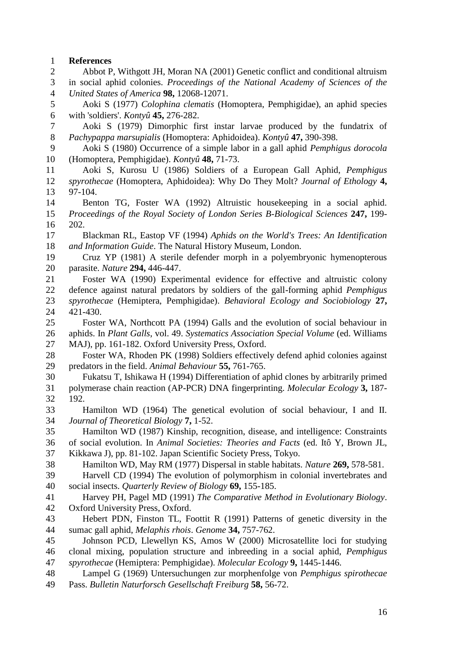## **References**

| $\overline{2}$ | Abbot P, Withgott JH, Moran NA (2001) Genetic conflict and conditional altruism                                                    |
|----------------|------------------------------------------------------------------------------------------------------------------------------------|
| 3              | in social aphid colonies. Proceedings of the National Academy of Sciences of the                                                   |
| $\overline{4}$ | United States of America 98, 12068-12071.                                                                                          |
| 5              | Aoki S (1977) Colophina clematis (Homoptera, Pemphigidae), an aphid species                                                        |
| 6              | with 'soldiers'. Kontyû 45, 276-282.                                                                                               |
| 7              | Aoki S (1979) Dimorphic first instar larvae produced by the fundatrix of                                                           |
| 8              | Pachypappa marsupialis (Homoptera: Aphidoidea). Kontyû 47, 390-398.                                                                |
| 9              | Aoki S (1980) Occurrence of a simple labor in a gall aphid Pemphigus dorocola                                                      |
| 10             | (Homoptera, Pemphigidae). Kontyû 48, 71-73.                                                                                        |
| 11             | Aoki S, Kurosu U (1986) Soldiers of a European Gall Aphid, Pemphigus                                                               |
| 12             | spyrothecae (Homoptera, Aphidoidea): Why Do They Molt? Journal of Ethology 4,                                                      |
| 13             | 97-104.                                                                                                                            |
| 14             | Benton TG, Foster WA (1992) Altruistic housekeeping in a social aphid.                                                             |
| 15             | Proceedings of the Royal Society of London Series B-Biological Sciences 247, 199-                                                  |
| 16             | 202.                                                                                                                               |
| 17             | Blackman RL, Eastop VF (1994) Aphids on the World's Trees: An Identification                                                       |
| 18             | and Information Guide. The Natural History Museum, London.                                                                         |
| 19             | Cruz YP (1981) A sterile defender morph in a polyembryonic hymenopterous                                                           |
| 20             | parasite. Nature 294, 446-447.                                                                                                     |
| 21             | Foster WA (1990) Experimental evidence for effective and altruistic colony                                                         |
| 22             | defence against natural predators by soldiers of the gall-forming aphid Pemphigus                                                  |
| 23             | spyrothecae (Hemiptera, Pemphigidae). Behavioral Ecology and Sociobiology 27,                                                      |
| 24             | 421-430.                                                                                                                           |
| 25             | Foster WA, Northcott PA (1994) Galls and the evolution of social behaviour in                                                      |
| 26             | aphids. In Plant Galls, vol. 49. Systematics Association Special Volume (ed. Williams                                              |
| 27             | MAJ), pp. 161-182. Oxford University Press, Oxford.                                                                                |
| 28             | Foster WA, Rhoden PK (1998) Soldiers effectively defend aphid colonies against                                                     |
| 29             | predators in the field. Animal Behaviour 55, 761-765.                                                                              |
| 30             | Fukatsu T, Ishikawa H (1994) Differentiation of aphid clones by arbitrarily primed                                                 |
| 31             | polymerase chain reaction (AP-PCR) DNA fingerprinting. Molecular Ecology 3, 187-                                                   |
| 32             | 192.                                                                                                                               |
| 33             | Hamilton WD (1964) The genetical evolution of social behaviour, I and II.                                                          |
| 34             | Journal of Theoretical Biology 7, 1-52.                                                                                            |
| 35             | Hamilton WD (1987) Kinship, recognition, disease, and intelligence: Constraints                                                    |
| 36             | of social evolution. In Animal Societies: Theories and Facts (ed. Itô Y, Brown JL,                                                 |
| 37             | Kikkawa J), pp. 81-102. Japan Scientific Society Press, Tokyo.                                                                     |
| 38             | Hamilton WD, May RM (1977) Dispersal in stable habitats. Nature 269, 578-581.                                                      |
| 39             | Harvell CD (1994) The evolution of polymorphism in colonial invertebrates and                                                      |
| 40             | social insects. Quarterly Review of Biology 69, 155-185.                                                                           |
| 41             | Harvey PH, Pagel MD (1991) The Comparative Method in Evolutionary Biology.                                                         |
| 42<br>43       | Oxford University Press, Oxford.                                                                                                   |
|                | Hebert PDN, Finston TL, Foottit R (1991) Patterns of genetic diversity in the                                                      |
| 44<br>45       | sumac gall aphid, Melaphis rhois. Genome 34, 757-762.<br>Johnson PCD, Llewellyn KS, Amos W (2000) Microsatellite loci for studying |
| 46             | clonal mixing, population structure and inbreeding in a social aphid, Pemphigus                                                    |
| 47             | spyrothecae (Hemiptera: Pemphigidae). Molecular Ecology 9, 1445-1446.                                                              |
| 48             | Lampel G (1969) Untersuchungen zur morphenfolge von Pemphigus spirothecae                                                          |
| 49             | Pass. Bulletin Naturforsch Gesellschaft Freiburg 58, 56-72.                                                                        |
|                |                                                                                                                                    |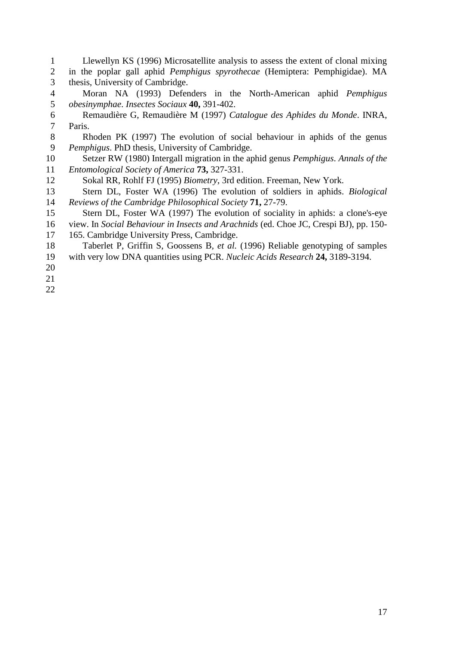Llewellyn KS (1996) Microsatellite analysis to assess the extent of clonal mixing in the poplar gall aphid *Pemphigus spyrothecae* (Hemiptera: Pemphigidae). MA thesis, University of Cambridge. Moran NA (1993) Defenders in the North-American aphid *Pemphigus obesinymphae*. *Insectes Sociaux* **40,** 391-402. Remaudière G, Remaudière M (1997) *Catalogue des Aphides du Monde*. INRA, Paris. Rhoden PK (1997) The evolution of social behaviour in aphids of the genus *Pemphigus*. PhD thesis, University of Cambridge. Setzer RW (1980) Intergall migration in the aphid genus *Pemphigus*. *Annals of the Entomological Society of America* **73,** 327-331. Sokal RR, Rohlf FJ (1995) *Biometry*, 3rd edition. Freeman, New York. Stern DL, Foster WA (1996) The evolution of soldiers in aphids. *Biological Reviews of the Cambridge Philosophical Society* **71,** 27-79. Stern DL, Foster WA (1997) The evolution of sociality in aphids: a clone's-eye view. In *Social Behaviour in Insects and Arachnids* (ed. Choe JC, Crespi BJ), pp. 150- 165. Cambridge University Press, Cambridge. Taberlet P, Griffin S, Goossens B*, et al.* (1996) Reliable genotyping of samples with very low DNA quantities using PCR. *Nucleic Acids Research* **24,** 3189-3194.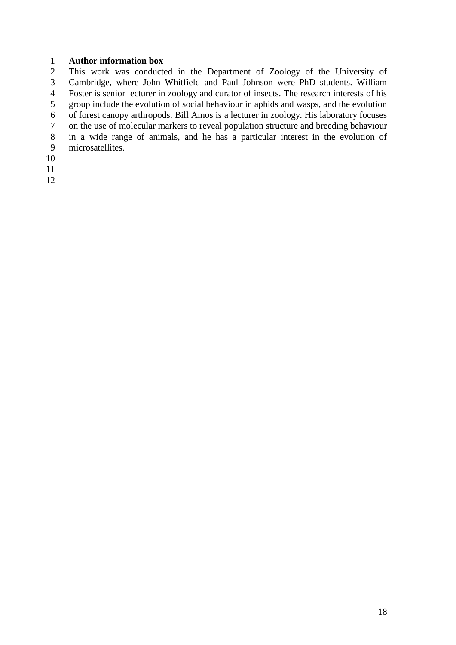# **Author information box**

 This work was conducted in the Department of Zoology of the University of Cambridge, where John Whitfield and Paul Johnson were PhD students. William Foster is senior lecturer in zoology and curator of insects. The research interests of his group include the evolution of social behaviour in aphids and wasps, and the evolution of forest canopy arthropods. Bill Amos is a lecturer in zoology. His laboratory focuses on the use of molecular markers to reveal population structure and breeding behaviour in a wide range of animals, and he has a particular interest in the evolution of microsatellites.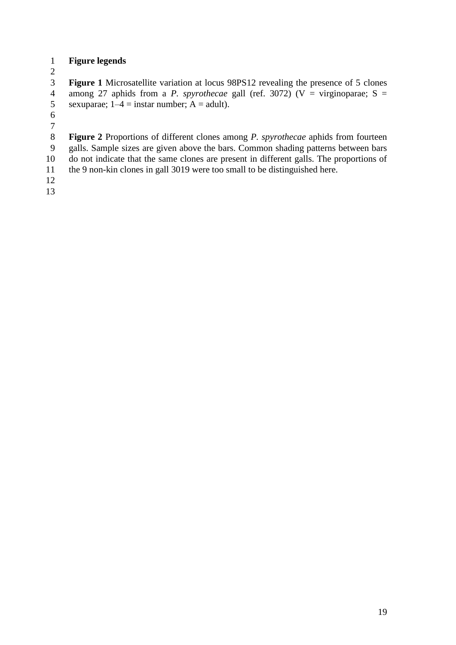# **Figure legends**

 **Figure 1** Microsatellite variation at locus 98PS12 revealing the presence of 5 clones among 27 aphids from a *P. spyrothecae* gall (ref. 3072) (V = virginoparae; S = 5 sexuparae;  $1-4 =$  instar number;  $A =$  adult).

 **Figure 2** Proportions of different clones among *P. spyrothecae* aphids from fourteen galls. Sample sizes are given above the bars. Common shading patterns between bars do not indicate that the same clones are present in different galls. The proportions of

the 9 non-kin clones in gall 3019 were too small to be distinguished here.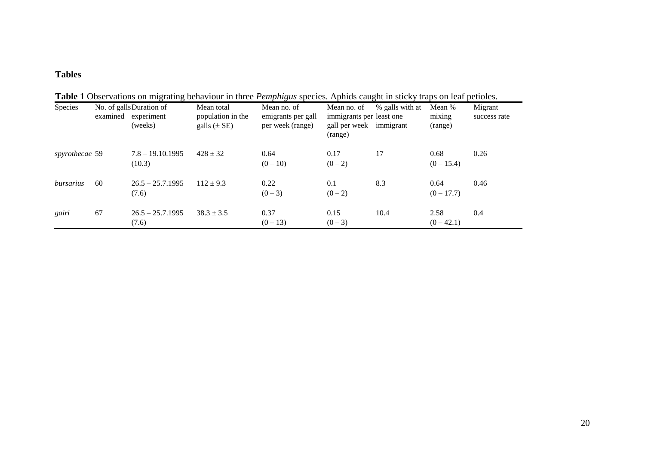# **Tables**

| Species        |    | No. of gallsDuration of<br>examined experiment<br>(weeks) | Mean total<br>population in the<br>galls $(\pm SE)$ | Mean no. of<br>emigrants per gall<br>per week (range) | Mean no. of<br>immigrants per least one<br>gall per week immigrant<br>(range) | % galls with at | Mean %<br>mixing<br>(range) | Migrant<br>success rate |
|----------------|----|-----------------------------------------------------------|-----------------------------------------------------|-------------------------------------------------------|-------------------------------------------------------------------------------|-----------------|-----------------------------|-------------------------|
| spyrothecae 59 |    | $7.8 - 19.10.1995$<br>(10.3)                              | $428 \pm 32$                                        | 0.64<br>$(0-10)$                                      | 0.17<br>$(0-2)$                                                               | 17              | 0.68<br>$(0-15.4)$          | 0.26                    |
| bursarius      | 60 | $26.5 - 25.7.1995$<br>(7.6)                               | $112 \pm 9.3$                                       | 0.22<br>$(0-3)$                                       | 0.1<br>$(0-2)$                                                                | 8.3             | 0.64<br>$(0 - 17.7)$        | 0.46                    |
| gairi          | 67 | $26.5 - 25.7.1995$<br>(7.6)                               | $38.3 \pm 3.5$                                      | 0.37<br>$(0-13)$                                      | 0.15<br>$(0-3)$                                                               | 10.4            | 2.58<br>$(0-42.1)$          | 0.4                     |

**Table 1** Observations on migrating behaviour in three *Pemphigus* species. Aphids caught in sticky traps on leaf petioles.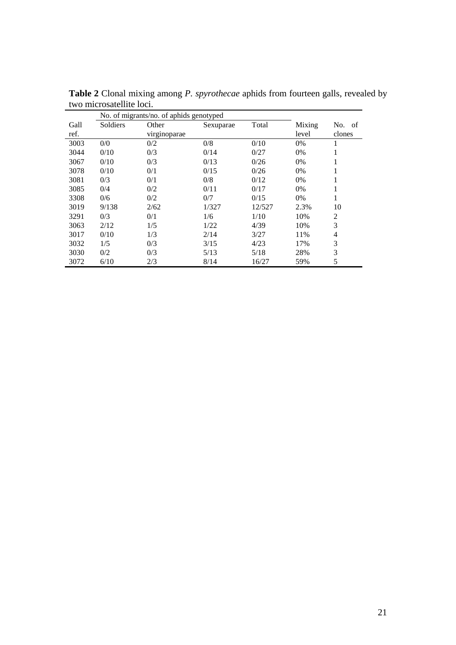|      | No. of migrants/no. of aphids genotyped |              |           |        |        |                |
|------|-----------------------------------------|--------------|-----------|--------|--------|----------------|
| Gall | Soldiers                                | Other        | Sexuparae | Total  | Mixing | No. of         |
| ref. |                                         | virginoparae |           |        | level  | clones         |
| 3003 | 0/0                                     | 0/2          | 0/8       | 0/10   | 0%     | 1              |
| 3044 | 0/10                                    | 0/3          | 0/14      | 0/27   | 0%     | 1              |
| 3067 | 0/10                                    | 0/3          | 0/13      | 0/26   | 0%     | 1              |
| 3078 | 0/10                                    | 0/1          | 0/15      | 0/26   | 0%     | 1<br>1         |
| 3081 | 0/3                                     | 0/1          | 0/8       | 0/12   | 0%     | 1              |
| 3085 | 0/4                                     | 0/2          | 0/11      | 0/17   | 0%     | 1              |
| 3308 | 0/6                                     | 0/2          | 0/7       | 0/15   | 0%     | 1              |
| 3019 | 9/138                                   | 2/62         | 1/327     | 12/527 | 2.3%   | 10             |
| 3291 | 0/3                                     | 0/1          | 1/6       | 1/10   | 10%    | $\overline{c}$ |
| 3063 | 2/12                                    | 1/5          | 1/22      | 4/39   | 10%    | 3              |
| 3017 | 0/10                                    | 1/3          | 2/14      | 3/27   | 11%    | 4              |
| 3032 | 1/5                                     | 0/3          | 3/15      | 4/23   | 17%    | 3              |
| 3030 | 0/2                                     | 0/3          | 5/13      | 5/18   | 28%    | 3              |
| 3072 | 6/10                                    | 2/3          | 8/14      | 16/27  | 59%    | 5              |

**Table 2** Clonal mixing among *P. spyrothecae* aphids from fourteen galls, revealed by two microsatellite loci.